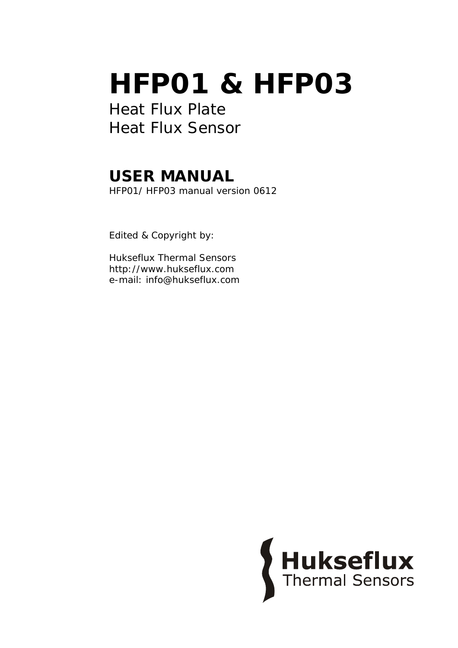# **HFP01 & HFP03**

Heat Flux Plate Heat Flux Sensor

## **USER MANUAL**

HFP01/ HFP03 manual version 0612

Edited & Copyright by:

Hukseflux Thermal Sensors http://www.hukseflux.com e-mail: info@hukseflux.com

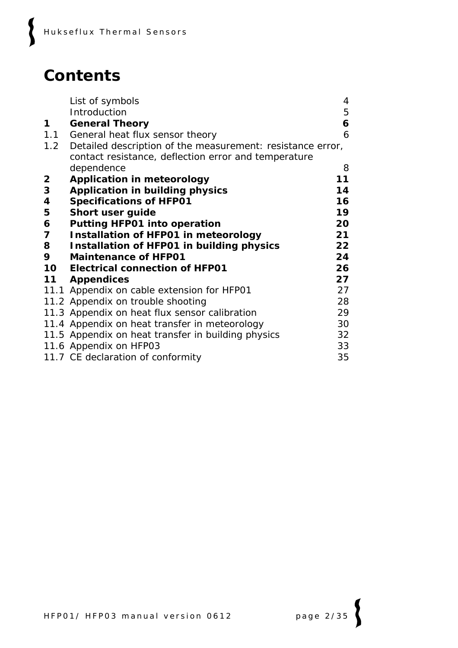### **Contents**

 $\boldsymbol{\zeta}$ 

|                | List of symbols                                            | 4  |
|----------------|------------------------------------------------------------|----|
|                | Introduction                                               | 5  |
| 1              | <b>General Theory</b>                                      | 6  |
|                | 1.1 General heat flux sensor theory                        | 6  |
| 1.2            | Detailed description of the measurement: resistance error, |    |
|                | contact resistance, deflection error and temperature       |    |
|                | dependence                                                 | 8  |
| $\overline{2}$ | <b>Application in meteorology</b>                          | 11 |
| 3              | <b>Application in building physics</b>                     | 14 |
| 4              | <b>Specifications of HFP01</b>                             | 16 |
| 5              | Short user guide                                           | 19 |
| 6              | <b>Putting HFP01 into operation</b>                        | 20 |
| 7              | <b>Installation of HFP01 in meteorology</b>                | 21 |
| 8              | <b>Installation of HFP01 in building physics</b>           | 22 |
| 9              | <b>Maintenance of HFP01</b>                                | 24 |
| 10             | <b>Electrical connection of HFP01</b>                      | 26 |
|                | 11 Appendices                                              | 27 |
|                | 11.1 Appendix on cable extension for HFP01                 | 27 |
|                | 11.2 Appendix on trouble shooting                          | 28 |
|                | 11.3 Appendix on heat flux sensor calibration              | 29 |
|                | 11.4 Appendix on heat transfer in meteorology              | 30 |
|                | 11.5 Appendix on heat transfer in building physics         | 32 |
|                | 11.6 Appendix on HFP03                                     | 33 |
|                | 11.7 CE declaration of conformity                          | 35 |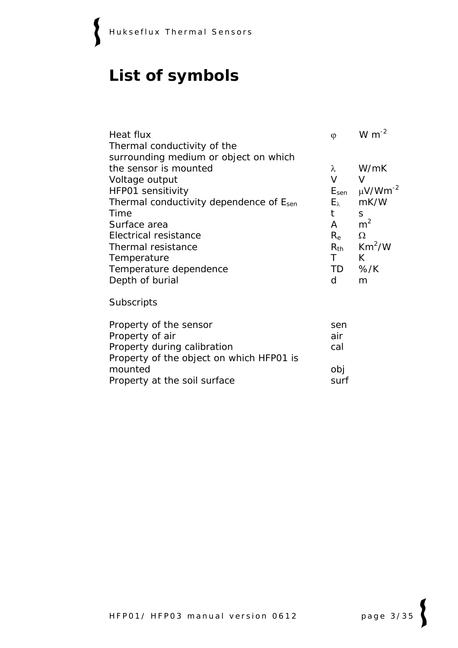$\{$ 

### **List of symbols**

| Heat flux<br>Thermal conductivity of the            | $\varphi$     | W $m^{-2}$                         |
|-----------------------------------------------------|---------------|------------------------------------|
| surrounding medium or object on which               |               |                                    |
| the sensor is mounted                               | $\lambda$     | W/mK                               |
| Voltage output                                      | $\vee$        | V                                  |
| HFP01 sensitivity                                   |               | $E_{sen}$ $\mu$ V/Wm <sup>-2</sup> |
| Thermal conductivity dependence of E <sub>sen</sub> | $E_{\lambda}$ | mK/W                               |
| Time                                                | t             | S                                  |
| Surface area                                        | A             | m <sup>2</sup>                     |
| Electrical resistance                               | $R_{\rm e}$   | $\Omega$                           |
| Thermal resistance                                  |               | $R_{th}$ Km <sup>2</sup> /W        |
| Temperature                                         | $\mathsf{T}$  | K                                  |
| Temperature dependence                              |               | TD %/K                             |
| Depth of burial                                     | d             | m                                  |
| Subscripts                                          |               |                                    |
| Property of the sensor                              | sen           |                                    |
| Property of air                                     | air           |                                    |
| Property during calibration                         | cal           |                                    |
| Property of the object on which HFP01 is            |               |                                    |
| mounted                                             | obj           |                                    |

Property at the soil surface surf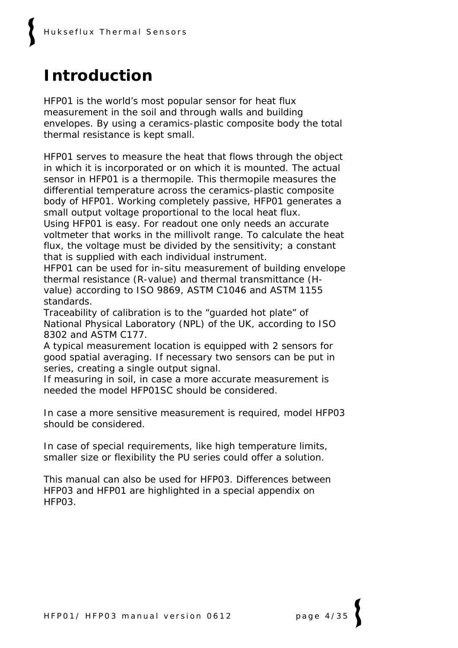## **Introduction**

HFP01 is the world's most popular sensor for heat flux measurement in the soil and through walls and building envelopes. By using a ceramics-plastic composite body the total thermal resistance is kept small.

HFP01 serves to measure the heat that flows through the object in which it is incorporated or on which it is mounted. The actual sensor in HFP01 is a thermopile. This thermopile measures the differential temperature across the ceramics-plastic composite body of HFP01. Working completely passive, HFP01 generates a small output voltage proportional to the local heat flux. Using HFP01 is easy. For readout one only needs an accurate voltmeter that works in the millivolt range. To calculate the heat flux, the voltage must be divided by the sensitivity; a constant that is supplied with each individual instrument.

HFP01 can be used for in-situ measurement of building envelope thermal resistance (R-value) and thermal transmittance (Hvalue) according to ISO 9869, ASTM C1046 and ASTM 1155 standards.

Traceability of calibration is to the "guarded hot plate" of National Physical Laboratory (NPL) of the UK, according to ISO 8302 and ASTM C177.

A typical measurement location is equipped with 2 sensors for good spatial averaging. If necessary two sensors can be put in series, creating a single output signal.

If measuring in soil, in case a more accurate measurement is needed the model HFP01SC should be considered.

In case a more sensitive measurement is required, model HFP03 should be considered.

In case of special requirements, like high temperature limits, smaller size or flexibility the PU series could offer a solution.

This manual can also be used for HFP03. Differences between HFP03 and HFP01 are highlighted in a special appendix on HFP03.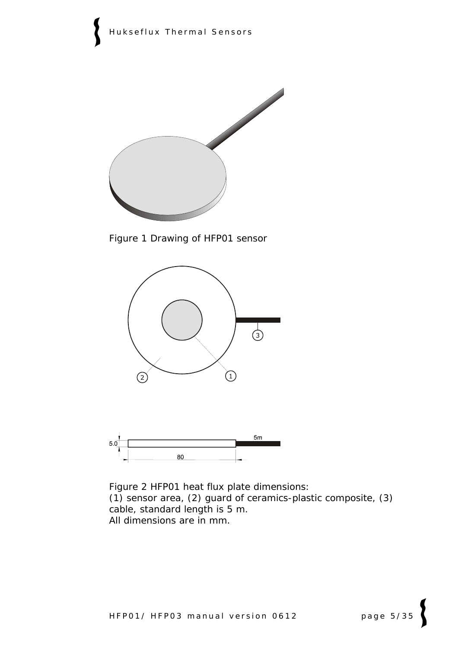

Figure 1 *Drawing of HFP01 sensor* 





Figure 2 *HFP01 heat flux plate dimensions: (1) sensor area, (2) guard of ceramics-plastic composite, (3) cable, standard length is 5 m. All dimensions are in mm.*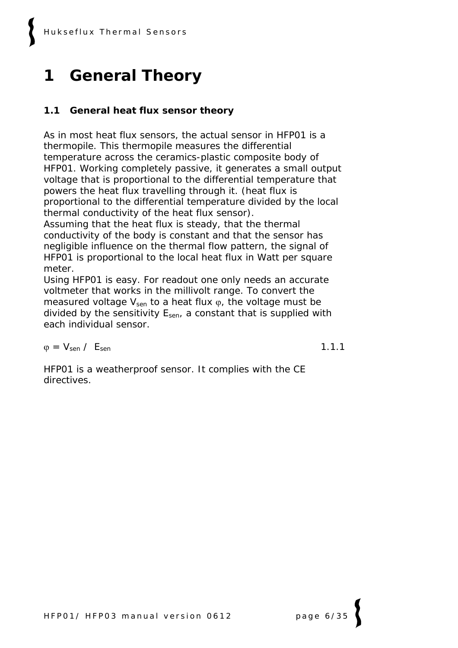# **1 General Theory**

### **1.1 General heat flux sensor theory**

As in most heat flux sensors, the actual sensor in HFP01 is a thermopile. This thermopile measures the differential temperature across the ceramics-plastic composite body of HFP01. Working completely passive, it generates a small output voltage that is proportional to the differential temperature that powers the heat flux travelling through it. (heat flux is proportional to the differential temperature divided by the local thermal conductivity of the heat flux sensor).

Assuming that the heat flux is steady, that the thermal conductivity of the body is constant and that the sensor has negligible influence on the thermal flow pattern, the signal of HFP01 is proportional to the local heat flux in Watt per square meter.

Using HFP01 is easy. For readout one only needs an accurate voltmeter that works in the millivolt range. To convert the measured voltage  $V_{sen}$  to a heat flux  $\varphi$ , the voltage must be divided by the sensitivity  $E_{sen}$ , a constant that is supplied with each individual sensor.

 $\varphi = V_{\text{sen}} / E_{\text{sen}}$  1.1.1

HFP01 is a weatherproof sensor. It complies with the CE directives.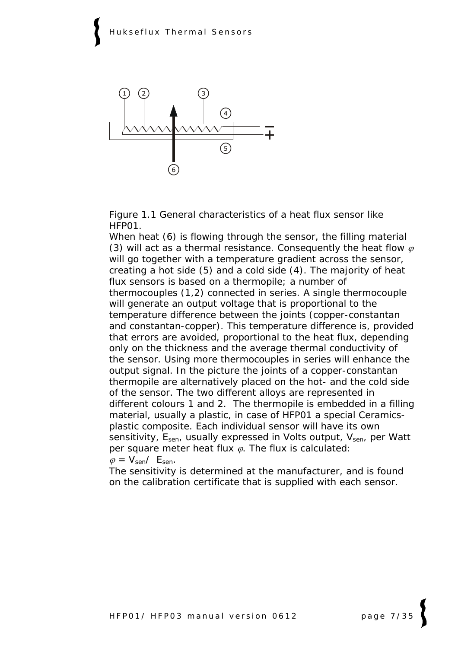

Figure 1.1 *General characteristics of a heat flux sensor like HFP01.* 

*When heat (6) is flowing through the sensor, the filling material*   $(3)$  will act as a thermal resistance. Consequently the heat flow  $\varphi$ *will go together with a temperature gradient across the sensor, creating a hot side (5) and a cold side (4). The majority of heat flux sensors is based on a thermopile; a number of thermocouples (1,2) connected in series. A single thermocouple will generate an output voltage that is proportional to the temperature difference between the joints (copper-constantan and constantan-copper). This temperature difference is, provided that errors are avoided, proportional to the heat flux, depending only on the thickness and the average thermal conductivity of the sensor. Using more thermocouples in series will enhance the output signal. In the picture the joints of a copper-constantan thermopile are alternatively placed on the hot- and the cold side of the sensor. The two different alloys are represented in different colours 1 and 2. The thermopile is embedded in a filling material, usually a plastic, in case of HFP01 a special Ceramicsplastic composite. Each individual sensor will have its own sensitivity, Esen, usually expressed in Volts output, Vsen, per Watt per square meter heat flux* ϕ*. The flux is calculated:*   $\varphi = V_{\text{sen}}/E_{\text{sen}}$ .

*The sensitivity is determined at the manufacturer, and is found on the calibration certificate that is supplied with each sensor.*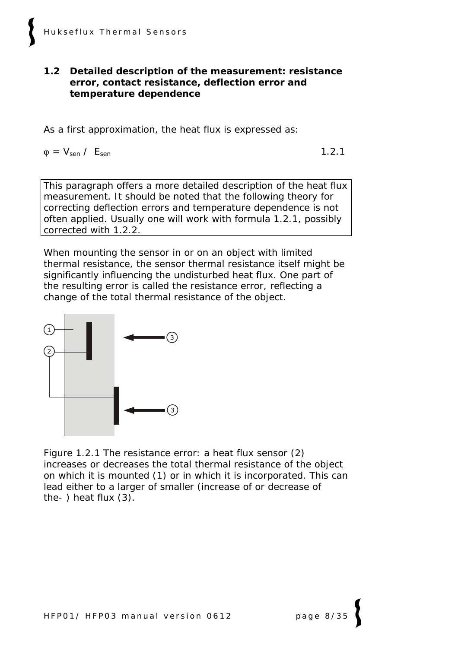#### **1.2 Detailed description of the measurement: resistance error, contact resistance, deflection error and temperature dependence**

As a first approximation, the heat flux is expressed as:

 $\varphi = V_{\text{sen}} / E_{\text{sen}}$  1.2.1

This paragraph offers a more detailed description of the heat flux measurement. It should be noted that the following theory for correcting deflection errors and temperature dependence is not often applied. Usually one will work with formula 1.2.1, possibly corrected with 1.2.2.

When mounting the sensor in or on an object with limited thermal resistance, the sensor thermal resistance itself might be significantly influencing the undisturbed heat flux. One part of the resulting error is called the resistance error, reflecting a change of the total thermal resistance of the object.



Figure 1.2.1 *The resistance error: a heat flux sensor (2) increases or decreases the total thermal resistance of the object on which it is mounted (1) or in which it is incorporated. This can lead either to a larger of smaller (increase of or decrease of the- ) heat flux (3).*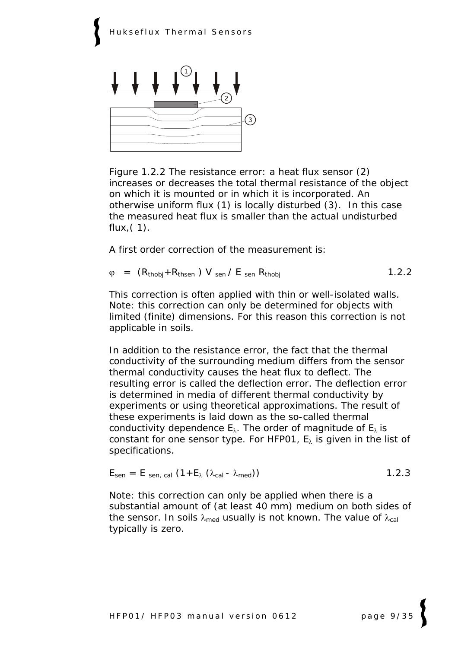

Figure 1.2.2 *The resistance error: a heat flux sensor (2) increases or decreases the total thermal resistance of the object on which it is mounted or in which it is incorporated. An otherwise uniform flux (1) is locally disturbed (3). In this case the measured heat flux is smaller than the actual undisturbed flux,( 1).*

A first order correction of the measurement is:

 $\varphi$  =  $(R_{thobj} + R_{thsen})$  V sen / E sen  $R_{thobj}$  (1.2.2)

This correction is often applied with thin or well-isolated walls. Note: this correction can only be determined for objects with limited (finite) dimensions. For this reason this correction is not applicable in soils.

In addition to the resistance error, the fact that the thermal conductivity of the surrounding medium differs from the sensor thermal conductivity causes the heat flux to deflect. The resulting error is called the deflection error. The deflection error is determined in media of different thermal conductivity by experiments or using theoretical approximations. The result of these experiments is laid down as the so-called thermal conductivity dependence  $E_{\lambda}$ . The order of magnitude of  $E_{\lambda}$  is constant for one sensor type. For HFP01,  $E_{\lambda}$  is given in the list of specifications.

$$
E_{\text{sen}} = E_{\text{sen, cal}} (1 + E_{\lambda} (\lambda_{\text{cal}} - \lambda_{\text{med}}))
$$
 1.2.3

Note: this correction can only be applied when there is a substantial amount of (at least 40 mm) medium on both sides of the sensor. In soils  $\lambda_{\text{med}}$  usually is not known. The value of  $\lambda_{\text{cal}}$ typically is zero.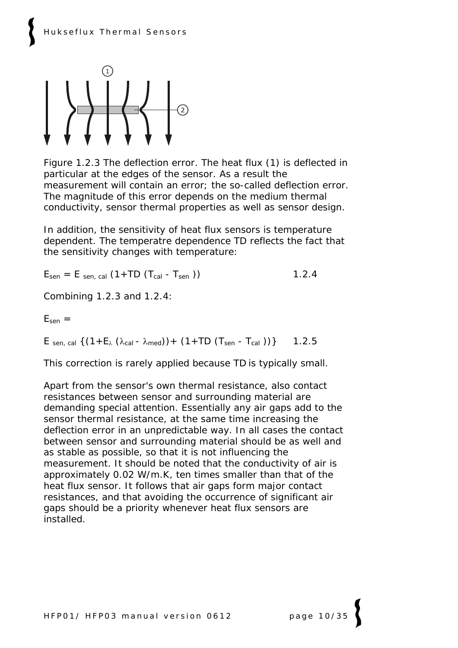

Figure 1.2.3 *The deflection error. The heat flux (1) is deflected in particular at the edges of the sensor. As a result the measurement will contain an error; the so-called deflection error. The magnitude of this error depends on the medium thermal conductivity, sensor thermal properties as well as sensor design.*

In addition, the sensitivity of heat flux sensors is temperature dependent. The temperatre dependence TD reflects the fact that the sensitivity changes with temperature:

 $E_{\text{sen}} = E_{\text{sen, cal}} (1 + TD (T_{\text{cal}} - T_{\text{sen}}))$  1.2.4

Combining 1.2.3 and 1.2.4:

 $E_{sen}$  =

E sen, cal  $\{(1 + E_{\lambda} (\lambda_{cal} - \lambda_{med})) + (1 + TD (T_{sen} - T_{cal})))\}$  1.2.5

This correction is rarely applied because TD is typically small.

Apart from the sensor's own thermal resistance, also contact resistances between sensor and surrounding material are demanding special attention. Essentially any air gaps add to the sensor thermal resistance, at the same time increasing the deflection error in an unpredictable way. In all cases the contact between sensor and surrounding material should be as well and as stable as possible, so that it is not influencing the measurement. It should be noted that the conductivity of air is approximately 0.02 W/m.K, ten times smaller than that of the heat flux sensor. It follows that air gaps form major contact resistances, and that avoiding the occurrence of significant air gaps should be a priority whenever heat flux sensors are installed.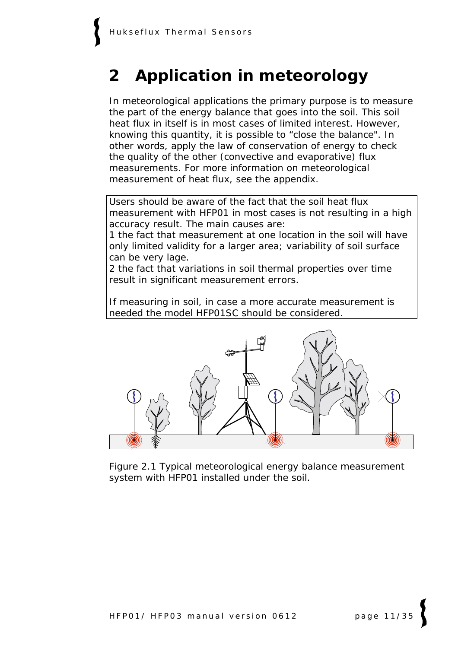### **2 Application in meteorology**

In meteorological applications the primary purpose is to measure the part of the energy balance that goes into the soil. This soil heat flux in itself is in most cases of limited interest. However, knowing this quantity, it is possible to "close the balance". In other words, apply the law of conservation of energy to check the quality of the other (convective and evaporative) flux measurements. For more information on meteorological measurement of heat flux, see the appendix.

Users should be aware of the fact that the soil heat flux measurement with HFP01 in most cases is not resulting in a high accuracy result. The main causes are:

1 the fact that measurement at one location in the soil will have only limited validity for a larger area; variability of soil surface can be very lage.

2 the fact that variations in soil thermal properties over time result in significant measurement errors.

If measuring in soil, in case a more accurate measurement is needed the model HFP01SC should be considered.



Figure 2.1 *Typical meteorological energy balance measurement system with HFP01 installed under the soil.*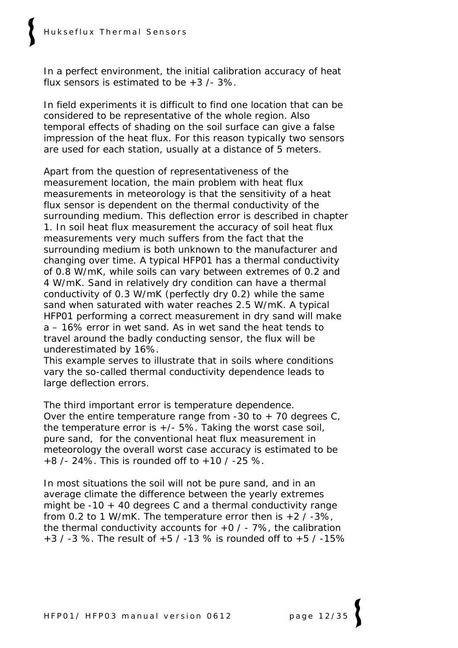In a perfect environment, the initial calibration accuracy of heat flux sensors is estimated to be  $+3$  /- 3%.

In field experiments it is difficult to find one location that can be considered to be representative of the whole region. Also temporal effects of shading on the soil surface can give a false impression of the heat flux. For this reason typically two sensors are used for each station, usually at a distance of 5 meters.

Apart from the question of representativeness of the measurement location, the main problem with heat flux measurements in meteorology is that the sensitivity of a heat flux sensor is dependent on the thermal conductivity of the surrounding medium. This deflection error is described in chapter 1. In soil heat flux measurement the accuracy of soil heat flux measurements very much suffers from the fact that the surrounding medium is both unknown to the manufacturer and changing over time. A typical HFP01 has a thermal conductivity of 0.8 W/mK, while soils can vary between extremes of 0.2 and 4 W/mK. Sand in relatively dry condition can have a thermal conductivity of 0.3 W/mK (perfectly dry 0.2) while the same sand when saturated with water reaches 2.5 W/mK. A typical HFP01 performing a correct measurement in dry sand will make a – 16% error in wet sand. As in wet sand the heat tends to travel around the badly conducting sensor, the flux will be underestimated by 16%.

This example serves to illustrate that in soils where conditions vary the so-called thermal conductivity dependence leads to large deflection errors.

The third important error is temperature dependence. Over the entire temperature range from -30 to  $+$  70 degrees C, the temperature error is  $+/-$  5%. Taking the worst case soil, pure sand, for the conventional heat flux measurement in meteorology the overall worst case accuracy is estimated to be +8 /- 24%. This is rounded off to +10 / -25 %.

In most situations the soil will not be pure sand, and in an average climate the difference between the yearly extremes might be -10 + 40 degrees C and a thermal conductivity range from 0.2 to 1 W/mK. The temperature error then is  $+2$  / -3%, the thermal conductivity accounts for  $+0$  / - 7%, the calibration  $+3$  / -3 %. The result of  $+5$  / -13 % is rounded off to  $+5$  / -15%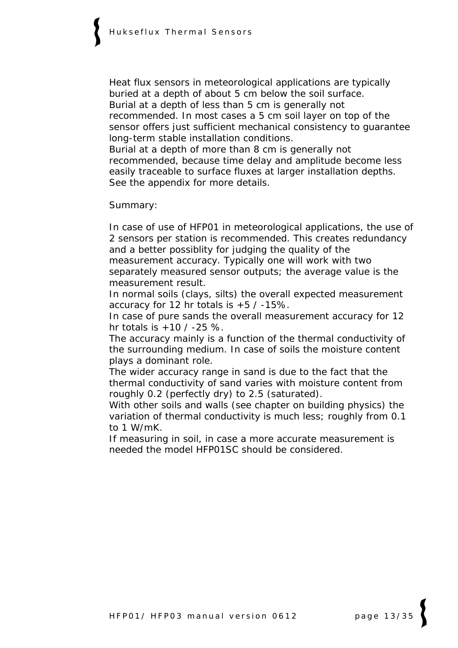Heat flux sensors in meteorological applications are typically buried at a depth of about 5 cm below the soil surface. Burial at a depth of less than 5 cm is generally not recommended. In most cases a 5 cm soil layer on top of the sensor offers just sufficient mechanical consistency to guarantee long-term stable installation conditions.

Burial at a depth of more than 8 cm is generally not recommended, because time delay and amplitude become less easily traceable to surface fluxes at larger installation depths. See the appendix for more details.

Summary:

In case of use of HFP01 in meteorological applications, the use of 2 sensors per station is recommended. This creates redundancy and a better possiblity for judging the quality of the measurement accuracy. Typically one will work with two separately measured sensor outputs; the average value is the measurement result.

In normal soils (clays, silts) the overall expected measurement accuracy for 12 hr totals is  $+5$  /  $-15\%$ .

In case of pure sands the overall measurement accuracy for 12 hr totals is  $+10$  /  $-25$  %.

The accuracy mainly is a function of the thermal conductivity of the surrounding medium. In case of soils the moisture content plays a dominant role.

The wider accuracy range in sand is due to the fact that the thermal conductivity of sand varies with moisture content from roughly 0.2 (perfectly dry) to 2.5 (saturated).

With other soils and walls (see chapter on building physics) the variation of thermal conductivity is much less; roughly from 0.1 to 1 W/mK.

If measuring in soil, in case a more accurate measurement is needed the model HFP01SC should be considered.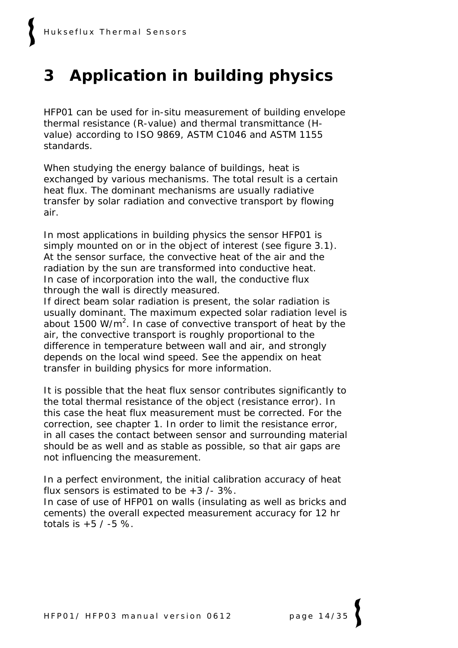# **3 Application in building physics**

HFP01 can be used for in-situ measurement of building envelope thermal resistance (R-value) and thermal transmittance (Hvalue) according to ISO 9869, ASTM C1046 and ASTM 1155 standards.

When studying the energy balance of buildings, heat is exchanged by various mechanisms. The total result is a certain heat flux. The dominant mechanisms are usually radiative transfer by solar radiation and convective transport by flowing air.

In most applications in building physics the sensor HFP01 is simply mounted on or in the object of interest (see figure 3.1). At the sensor surface, the convective heat of the air and the radiation by the sun are transformed into conductive heat. In case of incorporation into the wall, the conductive flux through the wall is directly measured.

If direct beam solar radiation is present, the solar radiation is usually dominant. The maximum expected solar radiation level is about 1500 W/m<sup>2</sup>. In case of convective transport of heat by the air, the convective transport is roughly proportional to the difference in temperature between wall and air, and strongly depends on the local wind speed. See the appendix on heat transfer in building physics for more information.

It is possible that the heat flux sensor contributes significantly to the total thermal resistance of the object (resistance error). In this case the heat flux measurement must be corrected. For the correction, see chapter 1. In order to limit the resistance error, in all cases the contact between sensor and surrounding material should be as well and as stable as possible, so that air gaps are not influencing the measurement.

In a perfect environment, the initial calibration accuracy of heat flux sensors is estimated to be  $+3$  /- 3%.

In case of use of HFP01 on walls (insulating as well as bricks and cements) the overall expected measurement accuracy for 12 hr totals is  $+5/ -5$  %.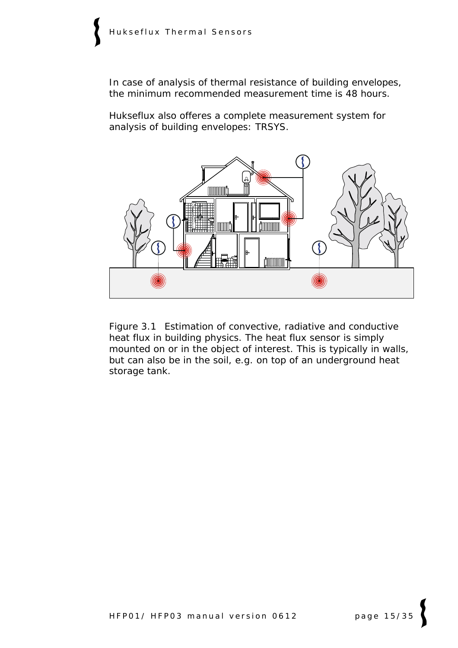In case of analysis of thermal resistance of building envelopes, the minimum recommended measurement time is 48 hours.

Hukseflux also offeres a complete measurement system for analysis of building envelopes: TRSYS.



Figure 3.1 *Estimation of convective, radiative and conductive heat flux in building physics. The heat flux sensor is simply mounted on or in the object of interest. This is typically in walls, but can also be in the soil, e.g. on top of an underground heat storage tank.*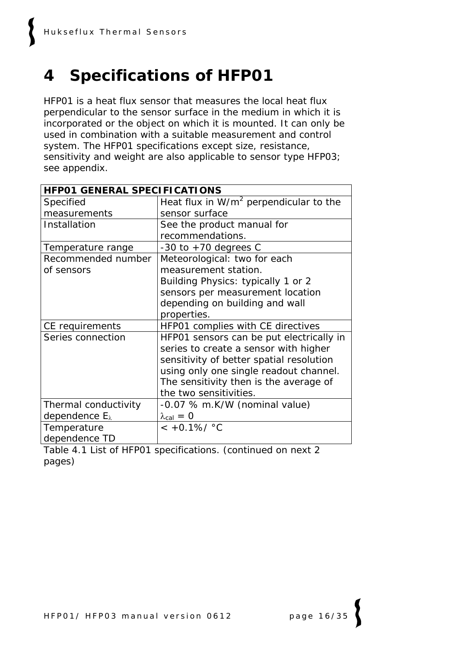# **4 Specifications of HFP01**

HFP01 is a heat flux sensor that measures the local heat flux perpendicular to the sensor surface in the medium in which it is incorporated or the object on which it is mounted. It can only be used in combination with a suitable measurement and control system. The HFP01 specifications except size, resistance, sensitivity and weight are also applicable to sensor type HFP03; see appendix.

| <b>HFP01 GENERAL SPECIFICATIONS</b> |                                           |  |  |
|-------------------------------------|-------------------------------------------|--|--|
| Specified                           | Heat flux in $W/m^2$ perpendicular to the |  |  |
| measurements                        | sensor surface                            |  |  |
| Installation                        | See the product manual for                |  |  |
|                                     | recommendations.                          |  |  |
| Temperature range                   | $-30$ to $+70$ degrees C                  |  |  |
| Recommended number                  | Meteorological: two for each              |  |  |
| of sensors                          | measurement station.                      |  |  |
|                                     | Building Physics: typically 1 or 2        |  |  |
|                                     | sensors per measurement location          |  |  |
|                                     | depending on building and wall            |  |  |
|                                     | properties.                               |  |  |
| CE requirements                     | HFP01 complies with CE directives         |  |  |
| Series connection                   | HFP01 sensors can be put electrically in  |  |  |
|                                     | series to create a sensor with higher     |  |  |
|                                     | sensitivity of better spatial resolution  |  |  |
|                                     | using only one single readout channel.    |  |  |
|                                     | The sensitivity then is the average of    |  |  |
|                                     | the two sensitivities.                    |  |  |
| Thermal conductivity                | -0.07 % m.K/W (nominal value)             |  |  |
| dependence $E_{\lambda}$            | $\lambda_{\text{cal}} = 0$                |  |  |
| Temperature                         | $< +0.1\% / °C$                           |  |  |
| dependence TD                       |                                           |  |  |

Table 4.1 *List of HFP01 specifications. (continued on next 2 pages)*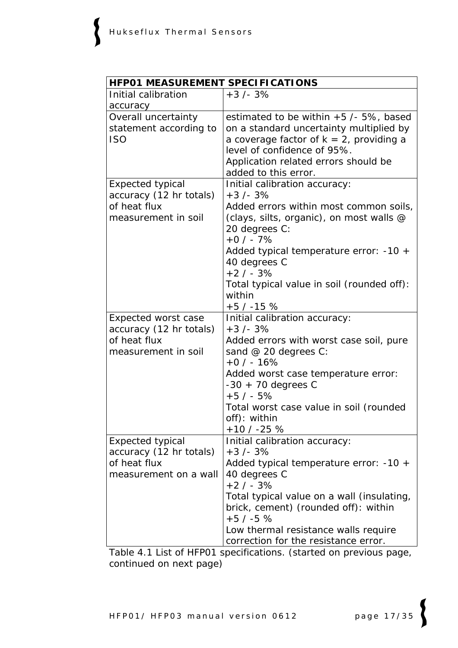| HFP01 MEASUREMENT SPECIFICATIONS                                                            |                                                                                                                                                                                                                                                                                                              |  |  |
|---------------------------------------------------------------------------------------------|--------------------------------------------------------------------------------------------------------------------------------------------------------------------------------------------------------------------------------------------------------------------------------------------------------------|--|--|
| Initial calibration                                                                         | $+3/-3%$                                                                                                                                                                                                                                                                                                     |  |  |
| accuracy                                                                                    |                                                                                                                                                                                                                                                                                                              |  |  |
| Overall uncertainty<br>statement according to<br><b>ISO</b>                                 | estimated to be within $+5$ /- 5%, based<br>on a standard uncertainty multiplied by<br>a coverage factor of $k = 2$ , providing a<br>level of confidence of 95%.<br>Application related errors should be<br>added to this error.                                                                             |  |  |
| <b>Expected typical</b><br>accuracy (12 hr totals)<br>of heat flux<br>measurement in soil   | Initial calibration accuracy:<br>$+3/-3%$<br>Added errors within most common soils,<br>(clays, silts, organic), on most walls @<br>20 degrees C:<br>$+0/ -7%$<br>Added typical temperature error: -10 +<br>40 degrees C<br>$+2/ - 3%$<br>Total typical value in soil (rounded off):<br>within<br>$+5/ -15$ % |  |  |
| <b>Expected worst case</b>                                                                  | Initial calibration accuracy:                                                                                                                                                                                                                                                                                |  |  |
| accuracy (12 hr totals)<br>of heat flux<br>measurement in soil                              | $+3/-3%$<br>Added errors with worst case soil, pure<br>sand @ 20 degrees C:<br>$+0/ - 16%$<br>Added worst case temperature error:<br>$-30 + 70$ degrees C<br>$+5/ - 5%$<br>Total worst case value in soil (rounded<br>off): within<br>$+10/ -25%$                                                            |  |  |
| <b>Expected typical</b><br>accuracy (12 hr totals)<br>of heat flux<br>measurement on a wall | Initial calibration accuracy:<br>$+3/-3%$<br>Added typical temperature error: -10 +<br>40 degrees C<br>$+2/ - 3%$<br>Total typical value on a wall (insulating,<br>brick, cement) (rounded off): within<br>$+5/ -5$ %<br>Low thermal resistance walls require<br>correction for the resistance error.        |  |  |

Table 4.1 *List of HFP01 specifications. (started on previous page, continued on next page)*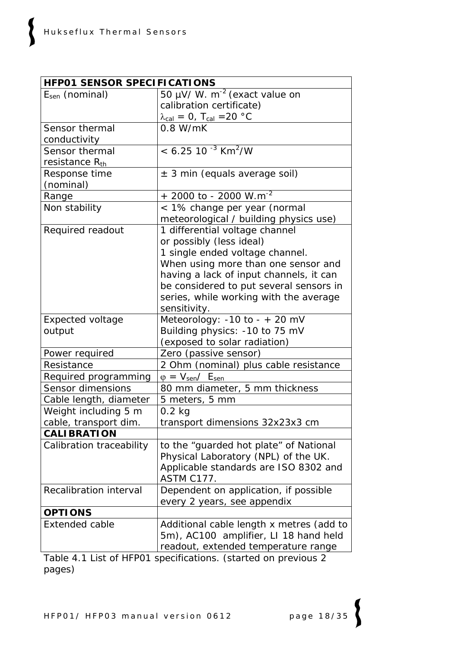| <b>HFP01 SENSOR SPECIFICATIONS</b> |                                                       |  |  |
|------------------------------------|-------------------------------------------------------|--|--|
| $E_{sen}$ (nominal)                | 50 $\mu$ V/ W. m <sup>-2</sup> (exact value on        |  |  |
|                                    | calibration certificate)                              |  |  |
|                                    | $\lambda_{\text{cal}} = 0$ , T <sub>cal</sub> = 20 °C |  |  |
| Sensor thermal                     | 0.8 W/mK                                              |  |  |
| conductivity                       |                                                       |  |  |
| Sensor thermal                     | $< 6.25$ 10 <sup>-3</sup> Km <sup>2</sup> /W          |  |  |
| resistance Rth                     |                                                       |  |  |
| Response time                      | $\pm$ 3 min (equals average soil)                     |  |  |
| (nominal)                          |                                                       |  |  |
| Range                              | $+$ 2000 to - 2000 W.m <sup>-2</sup>                  |  |  |
| Non stability                      | < 1% change per year (normal                          |  |  |
|                                    | meteorological / building physics use)                |  |  |
| Required readout                   | 1 differential voltage channel                        |  |  |
|                                    | or possibly (less ideal)                              |  |  |
|                                    | 1 single ended voltage channel.                       |  |  |
|                                    | When using more than one sensor and                   |  |  |
|                                    | having a lack of input channels, it can               |  |  |
|                                    | be considered to put several sensors in               |  |  |
|                                    | series, while working with the average                |  |  |
|                                    | sensitivity.                                          |  |  |
| <b>Expected voltage</b>            | Meteorology: $-10$ to $- + 20$ mV                     |  |  |
| output                             | Building physics: -10 to 75 mV                        |  |  |
|                                    | (exposed to solar radiation)                          |  |  |
| Power required                     | Zero (passive sensor)                                 |  |  |
| Resistance                         | 2 Ohm (nominal) plus cable resistance                 |  |  |
| Required programming               | $\varphi = V_{\text{sen}}/E_{\text{sen}}$             |  |  |
| Sensor dimensions                  | 80 mm diameter, 5 mm thickness                        |  |  |
| Cable length, diameter             | 5 meters, 5 mm                                        |  |  |
| Weight including 5 m               | $0.2$ kg                                              |  |  |
| cable, transport dim.              | transport dimensions 32x23x3 cm                       |  |  |
| <b>CALIBRATION</b>                 |                                                       |  |  |
| Calibration traceability           | to the "guarded hot plate" of National                |  |  |
|                                    | Physical Laboratory (NPL) of the UK.                  |  |  |
|                                    | Applicable standards are ISO 8302 and                 |  |  |
|                                    | ASTM C177.                                            |  |  |
| Recalibration interval             | Dependent on application, if possible                 |  |  |
|                                    | every 2 years, see appendix                           |  |  |
| <b>OPTIONS</b>                     |                                                       |  |  |
| <b>Extended cable</b>              | Additional cable length x metres (add to              |  |  |
|                                    | 5m), AC100 amplifier, LI 18 hand held                 |  |  |
|                                    | readout, extended temperature range                   |  |  |

Table 4.1 *List of HFP01 specifications. (started on previous 2 pages)*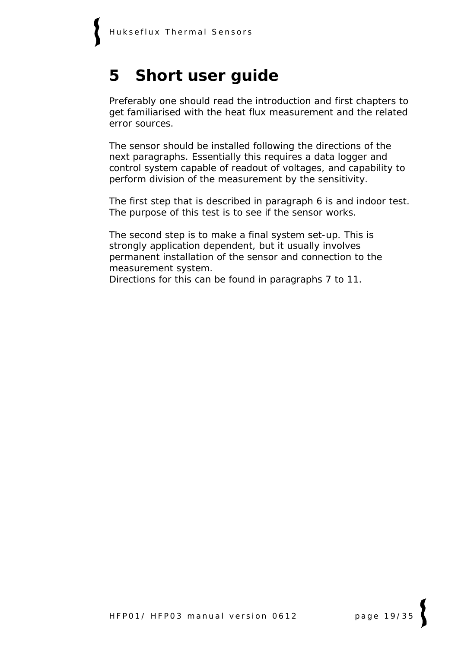### **5 Short user guide**

Preferably one should read the introduction and first chapters to get familiarised with the heat flux measurement and the related error sources.

The sensor should be installed following the directions of the next paragraphs. Essentially this requires a data logger and control system capable of readout of voltages, and capability to perform division of the measurement by the sensitivity.

The first step that is described in paragraph 6 is and indoor test. The purpose of this test is to see if the sensor works.

The second step is to make a final system set-up. This is strongly application dependent, but it usually involves permanent installation of the sensor and connection to the measurement system.

Directions for this can be found in paragraphs 7 to 11.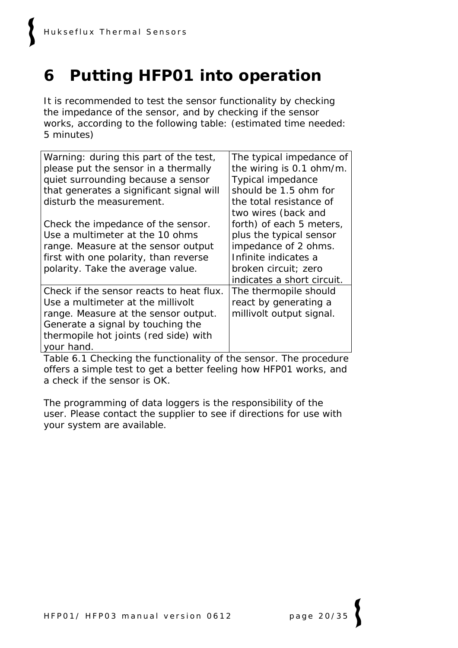# **6 Putting HFP01 into operation**

It is recommended to test the sensor functionality by checking the impedance of the sensor, and by checking if the sensor works, according to the following table: (estimated time needed: 5 minutes)

| Warning: during this part of the test,   | The typical impedance of   |
|------------------------------------------|----------------------------|
| please put the sensor in a thermally     | the wiring is 0.1 ohm/m.   |
| quiet surrounding because a sensor       | <b>Typical impedance</b>   |
| that generates a significant signal will | should be 1.5 ohm for      |
| disturb the measurement.                 | the total resistance of    |
|                                          | two wires (back and        |
| Check the impedance of the sensor.       | forth) of each 5 meters,   |
| Use a multimeter at the 10 ohms          | plus the typical sensor    |
| range. Measure at the sensor output      | impedance of 2 ohms.       |
| first with one polarity, than reverse    | Infinite indicates a       |
| polarity. Take the average value.        | broken circuit; zero       |
|                                          | indicates a short circuit. |
| Check if the sensor reacts to heat flux. | The thermopile should      |
| Use a multimeter at the millivolt        | react by generating a      |
| range. Measure at the sensor output.     | millivolt output signal.   |
| Generate a signal by touching the        |                            |
| thermopile hot joints (red side) with    |                            |
| your hand.                               |                            |

Table 6.1 *Checking the functionality of the sensor. The procedure offers a simple test to get a better feeling how HFP01 works, and a check if the sensor is OK.* 

The programming of data loggers is the responsibility of the user. Please contact the supplier to see if directions for use with your system are available.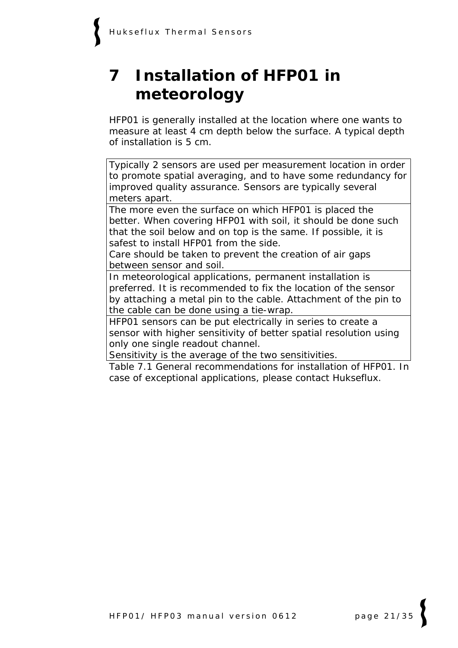# **7 Installation of HFP01 in meteorology**

HFP01 is generally installed at the location where one wants to measure at least 4 cm depth below the surface. A typical depth of installation is 5 cm.

Typically 2 sensors are used per measurement location in order to promote spatial averaging, and to have some redundancy for improved quality assurance. Sensors are typically several meters apart.

The more even the surface on which HFP01 is placed the better. When covering HFP01 with soil, it should be done such that the soil below and on top is the same. If possible, it is safest to install HFP01 from the side.

Care should be taken to prevent the creation of air gaps between sensor and soil.

In meteorological applications, permanent installation is preferred. It is recommended to fix the location of the sensor by attaching a metal pin to the cable. Attachment of the pin to the cable can be done using a tie-wrap.

HFP01 sensors can be put electrically in series to create a sensor with higher sensitivity of better spatial resolution using only one single readout channel.

Sensitivity is the average of the two sensitivities.

Table 7.1 *General recommendations for installation of HFP01. In case of exceptional applications, please contact Hukseflux.*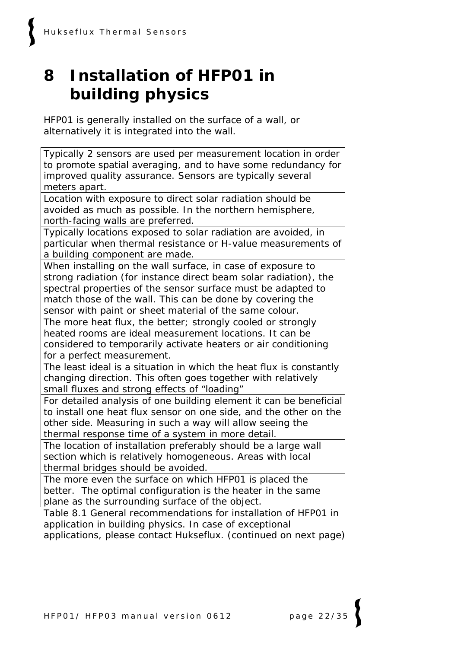# **8 Installation of HFP01 in building physics**

HFP01 is generally installed on the surface of a wall, or alternatively it is integrated into the wall.

Typically 2 sensors are used per measurement location in order to promote spatial averaging, and to have some redundancy for improved quality assurance. Sensors are typically several meters apart.

Location with exposure to direct solar radiation should be avoided as much as possible. In the northern hemisphere, north-facing walls are preferred.

Typically locations exposed to solar radiation are avoided, in particular when thermal resistance or H-value measurements of a building component are made.

When installing on the wall surface, in case of exposure to strong radiation (for instance direct beam solar radiation), the spectral properties of the sensor surface must be adapted to match those of the wall. This can be done by covering the sensor with paint or sheet material of the same colour.

The more heat flux, the better; strongly cooled or strongly heated rooms are ideal measurement locations. It can be considered to temporarily activate heaters or air conditioning for a perfect measurement.

The least ideal is a situation in which the heat flux is constantly changing direction. This often goes together with relatively small fluxes and strong effects of "loading"

For detailed analysis of one building element it can be beneficial to install one heat flux sensor on one side, and the other on the other side. Measuring in such a way will allow seeing the thermal response time of a system in more detail.

The location of installation preferably should be a large wall section which is relatively homogeneous. Areas with local thermal bridges should be avoided.

The more even the surface on which HFP01 is placed the better. The optimal configuration is the heater in the same plane as the surrounding surface of the object.

Table 8.1 *General recommendations for installation of HFP01 in application in building physics. In case of exceptional applications, please contact Hukseflux. (continued on next page)*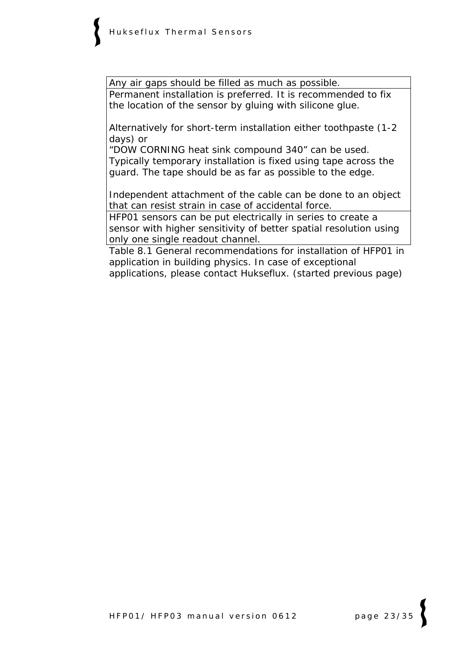Any air gaps should be filled as much as possible. Permanent installation is preferred. It is recommended to fix the location of the sensor by gluing with silicone glue.

Alternatively for short-term installation either toothpaste (1-2 days) or

"DOW CORNING heat sink compound 340" can be used. Typically temporary installation is fixed using tape across the guard. The tape should be as far as possible to the edge.

Independent attachment of the cable can be done to an object that can resist strain in case of accidental force.

HFP01 sensors can be put electrically in series to create a sensor with higher sensitivity of better spatial resolution using only one single readout channel.

Table 8.1 *General recommendations for installation of HFP01 in application in building physics. In case of exceptional applications, please contact Hukseflux. (started previous page)*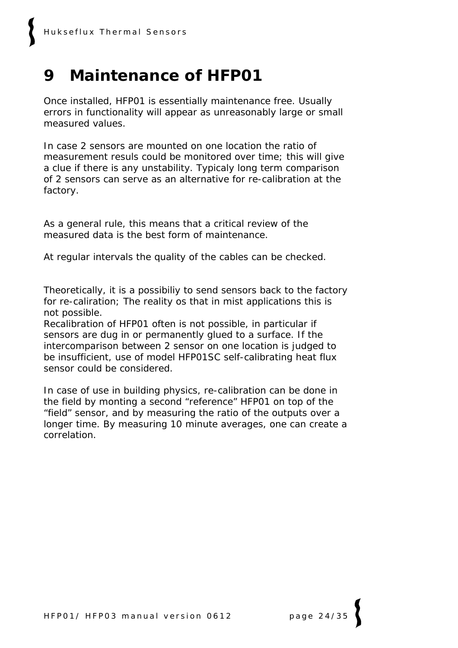### **9 Maintenance of HFP01**

Once installed, HFP01 is essentially maintenance free. Usually errors in functionality will appear as unreasonably large or small measured values.

In case 2 sensors are mounted on one location the ratio of measurement resuls could be monitored over time; this will give a clue if there is any unstability. Typicaly long term comparison of 2 sensors can serve as an alternative for re-calibration at the factory.

As a general rule, this means that a critical review of the measured data is the best form of maintenance.

At regular intervals the quality of the cables can be checked.

Theoretically, it is a possibiliy to send sensors back to the factory for re-caliration; The reality os that in mist applications this is not possible.

Recalibration of HFP01 often is not possible, in particular if sensors are dug in or permanently glued to a surface. If the intercomparison between 2 sensor on one location is judged to be insufficient, use of model HFP01SC self-calibrating heat flux sensor could be considered.

In case of use in building physics, re-calibration can be done in the field by monting a second "reference" HFP01 on top of the "field" sensor, and by measuring the ratio of the outputs over a longer time. By measuring 10 minute averages, one can create a correlation.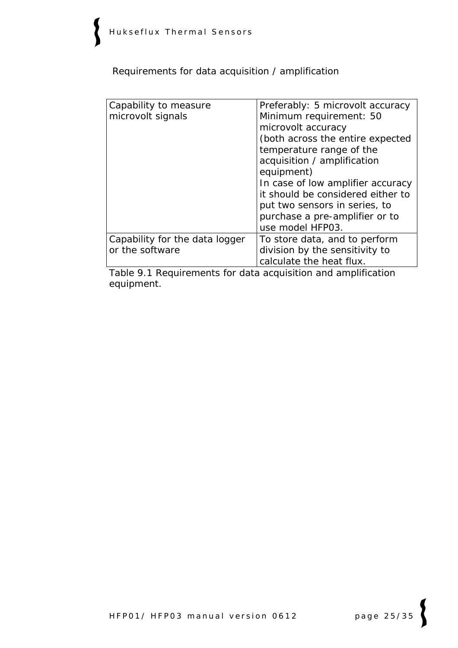Requirements for data acquisition / amplification

| Capability to measure<br>microvolt signals        | Preferably: 5 microvolt accuracy<br>Minimum requirement: 50<br>microvolt accuracy<br>(both across the entire expected<br>temperature range of the<br>acquisition / amplification<br>equipment)<br>In case of low amplifier accuracy<br>it should be considered either to<br>put two sensors in series, to<br>purchase a pre-amplifier or to<br>use model HFP03. |
|---------------------------------------------------|-----------------------------------------------------------------------------------------------------------------------------------------------------------------------------------------------------------------------------------------------------------------------------------------------------------------------------------------------------------------|
| Capability for the data logger<br>or the software | To store data, and to perform<br>division by the sensitivity to<br>calculate the heat flux.                                                                                                                                                                                                                                                                     |

Table 9.1 *Requirements for data acquisition and amplification equipment.*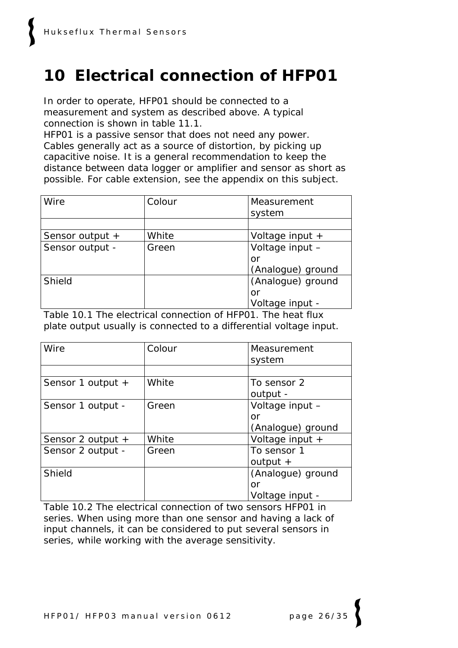## **10 Electrical connection of HFP01**

In order to operate, HFP01 should be connected to a measurement and system as described above. A typical connection is shown in table 11.1.

HFP01 is a passive sensor that does not need any power. Cables generally act as a source of distortion, by picking up capacitive noise. It is a general recommendation to keep the distance between data logger or amplifier and sensor as short as possible. For cable extension, see the appendix on this subject.

| Wire            | Colour | Measurement       |
|-----------------|--------|-------------------|
|                 |        | system            |
|                 |        |                   |
| Sensor output + | White  | Voltage input +   |
| Sensor output - | Green  | Voltage input -   |
|                 |        | or                |
|                 |        | (Analogue) ground |
| Shield          |        | (Analogue) ground |
|                 |        | or                |
|                 |        | Voltage input -   |

Table 10.1 *The electrical connection of HFP01. The heat flux plate output usually is connected to a differential voltage input.*

| Wire              | Colour | Measurement<br>system |
|-------------------|--------|-----------------------|
|                   |        |                       |
| Sensor 1 output + | White  | To sensor 2           |
|                   |        | output -              |
| Sensor 1 output - | Green  | Voltage input -       |
|                   |        | or                    |
|                   |        | (Analogue) ground     |
| Sensor 2 output + | White  | Voltage input +       |
| Sensor 2 output - | Green  | To sensor 1           |
|                   |        | output $+$            |
| Shield            |        | (Analogue) ground     |
|                   |        | or                    |
|                   |        | Voltage input -       |

Table 10.2 *The electrical connection of two sensors HFP01 in series. When using more than one sensor and having a lack of input channels, it can be considered to put several sensors in series, while working with the average sensitivity.*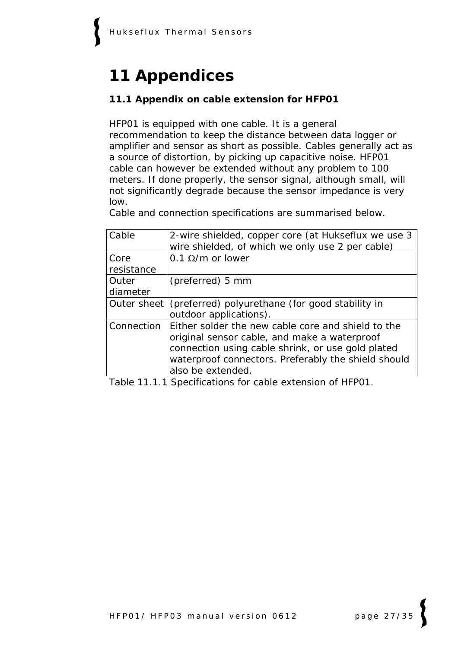# **11 Appendices**

#### **11.1 Appendix on cable extension for HFP01**

HFP01 is equipped with one cable. It is a general recommendation to keep the distance between data logger or amplifier and sensor as short as possible. Cables generally act as a source of distortion, by picking up capacitive noise. HFP01 cable can however be extended without any problem to 100 meters. If done properly, the sensor signal, although small, will not significantly degrade because the sensor impedance is very low.

Cable and connection specifications are summarised below.

| Cable      | 2-wire shielded, copper core (at Hukseflux we use 3<br>wire shielded, of which we only use 2 per cable) |
|------------|---------------------------------------------------------------------------------------------------------|
| Core       | 0.1 $\Omega/m$ or lower                                                                                 |
| resistance |                                                                                                         |
| Outer      | (preferred) 5 mm                                                                                        |
| diameter   |                                                                                                         |
|            | Outer sheet (preferred) polyurethane (for good stability in                                             |
|            | outdoor applications).                                                                                  |
|            | Connection   Either solder the new cable core and shield to the                                         |
|            | original sensor cable, and make a waterproof                                                            |
|            | connection using cable shrink, or use gold plated                                                       |
|            | waterproof connectors. Preferably the shield should                                                     |
|            | also be extended.                                                                                       |

Table 11.1.1 *Specifications for cable extension of HFP01.*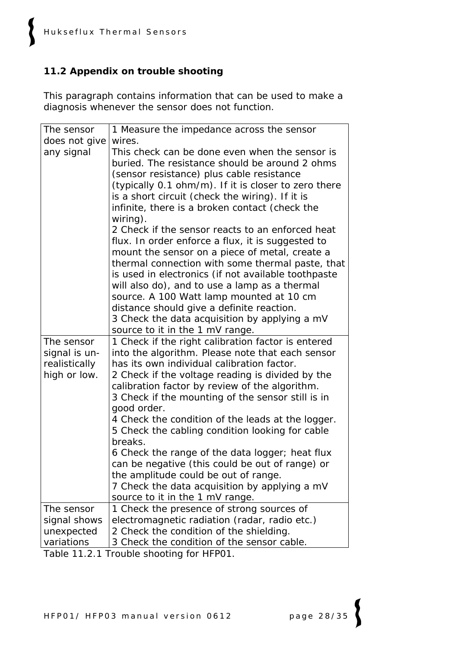### **11.2 Appendix on trouble shooting**

This paragraph contains information that can be used to make a diagnosis whenever the sensor does not function.

| The sensor    | 1 Measure the impedance across the sensor                                                                                                                                                                                                                                                                                                                                                                                                                                                        |
|---------------|--------------------------------------------------------------------------------------------------------------------------------------------------------------------------------------------------------------------------------------------------------------------------------------------------------------------------------------------------------------------------------------------------------------------------------------------------------------------------------------------------|
| does not give | wires.                                                                                                                                                                                                                                                                                                                                                                                                                                                                                           |
| any signal    | This check can be done even when the sensor is<br>buried. The resistance should be around 2 ohms<br>(sensor resistance) plus cable resistance<br>(typically 0.1 ohm/m). If it is closer to zero there<br>is a short circuit (check the wiring). If it is<br>infinite, there is a broken contact (check the<br>wiring).                                                                                                                                                                           |
|               | 2 Check if the sensor reacts to an enforced heat<br>flux. In order enforce a flux, it is suggested to<br>mount the sensor on a piece of metal, create a<br>thermal connection with some thermal paste, that<br>is used in electronics (if not available toothpaste<br>will also do), and to use a lamp as a thermal<br>source. A 100 Watt lamp mounted at 10 cm<br>distance should give a definite reaction.<br>3 Check the data acquisition by applying a mV<br>source to it in the 1 mV range. |
| The sensor    | 1 Check if the right calibration factor is entered                                                                                                                                                                                                                                                                                                                                                                                                                                               |
| signal is un- | into the algorithm. Please note that each sensor                                                                                                                                                                                                                                                                                                                                                                                                                                                 |
| realistically | has its own individual calibration factor.                                                                                                                                                                                                                                                                                                                                                                                                                                                       |
| high or low.  | 2 Check if the voltage reading is divided by the                                                                                                                                                                                                                                                                                                                                                                                                                                                 |
|               | calibration factor by review of the algorithm.                                                                                                                                                                                                                                                                                                                                                                                                                                                   |
|               | 3 Check if the mounting of the sensor still is in<br>good order.                                                                                                                                                                                                                                                                                                                                                                                                                                 |
|               | 4 Check the condition of the leads at the logger.<br>5 Check the cabling condition looking for cable                                                                                                                                                                                                                                                                                                                                                                                             |
|               | breaks.                                                                                                                                                                                                                                                                                                                                                                                                                                                                                          |
|               | 6 Check the range of the data logger; heat flux                                                                                                                                                                                                                                                                                                                                                                                                                                                  |
|               | can be negative (this could be out of range) or                                                                                                                                                                                                                                                                                                                                                                                                                                                  |
|               | the amplitude could be out of range.                                                                                                                                                                                                                                                                                                                                                                                                                                                             |
|               | 7 Check the data acquisition by applying a mV<br>source to it in the 1 mV range.                                                                                                                                                                                                                                                                                                                                                                                                                 |
| The sensor    | 1 Check the presence of strong sources of                                                                                                                                                                                                                                                                                                                                                                                                                                                        |
| signal shows  | electromagnetic radiation (radar, radio etc.)                                                                                                                                                                                                                                                                                                                                                                                                                                                    |
| unexpected    | 2 Check the condition of the shielding.                                                                                                                                                                                                                                                                                                                                                                                                                                                          |
| variations    | 3 Check the condition of the sensor cable.<br>$Table 11.2.1$ Trouble checting for $11FDA1$                                                                                                                                                                                                                                                                                                                                                                                                       |

Table 11.2.1 *Trouble shooting for HFP01.*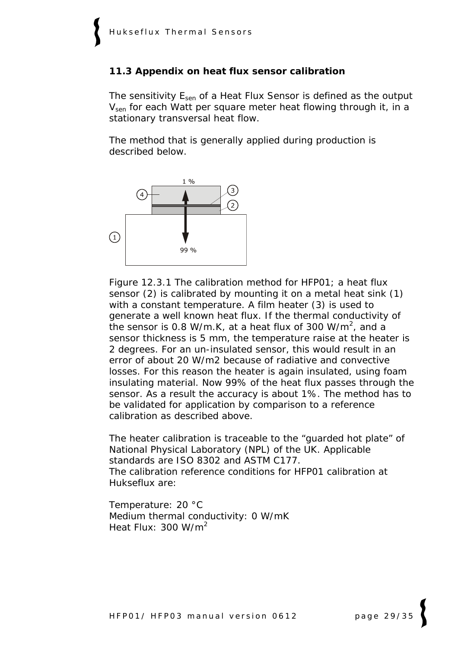#### **11.3 Appendix on heat flux sensor calibration**

The sensitivity E<sub>sen</sub> of a Heat Flux Sensor is defined as the output V<sub>sen</sub> for each Watt per square meter heat flowing through it, in a stationary transversal heat flow.

The method that is generally applied during production is described below.



Figure 12.3.1 *The calibration method for HFP01; a heat flux sensor (2) is calibrated by mounting it on a metal heat sink (1) with a constant temperature. A film heater (3) is used to generate a well known heat flux. If the thermal conductivity of the sensor is 0.8 W/m.K, at a heat flux of 300 W/m<sup>2</sup> , and a sensor thickness is 5 mm, the temperature raise at the heater is 2 degrees. For an un-insulated sensor, this would result in an error of about 20 W/m2 because of radiative and convective*  losses. For this reason the heater is again insulated, using foam *insulating material. Now 99% of the heat flux passes through the sensor. As a result the accuracy is about 1%. The method has to be validated for application by comparison to a reference calibration as described above.* 

The heater calibration is traceable to the "guarded hot plate" of National Physical Laboratory (NPL) of the UK. Applicable standards are ISO 8302 and ASTM C177. The calibration reference conditions for HFP01 calibration at Hukseflux are:

Temperature: 20 °C Medium thermal conductivity: 0 W/mK Heat Flux:  $300 W/m^2$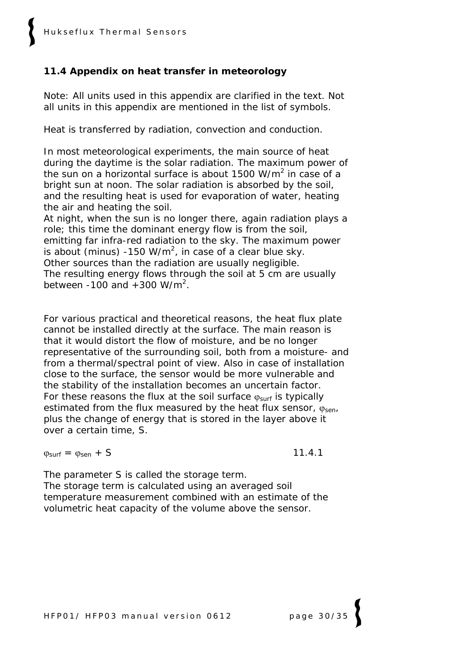#### **11.4 Appendix on heat transfer in meteorology**

Note: All units used in this appendix are clarified in the text. Not all units in this appendix are mentioned in the list of symbols.

Heat is transferred by radiation, convection and conduction.

In most meteorological experiments, the main source of heat during the daytime is the solar radiation. The maximum power of the sun on a horizontal surface is about 1500 W/ $m^2$  in case of a bright sun at noon. The solar radiation is absorbed by the soil, and the resulting heat is used for evaporation of water, heating the air and heating the soil.

At night, when the sun is no longer there, again radiation plays a role; this time the dominant energy flow is from the soil, emitting far infra-red radiation to the sky. The maximum power is about (minus) -150 W/m<sup>2</sup>, in case of a clear blue sky. Other sources than the radiation are usually negligible. The resulting energy flows through the soil at 5 cm are usually between -100 and  $+300$  W/m<sup>2</sup>.

For various practical and theoretical reasons, the heat flux plate cannot be installed directly at the surface. The main reason is that it would distort the flow of moisture, and be no longer representative of the surrounding soil, both from a moisture- and from a thermal/spectral point of view. Also in case of installation close to the surface, the sensor would be more vulnerable and the stability of the installation becomes an uncertain factor. For these reasons the flux at the soil surface  $\varphi_{\text{surf}}$  is typically estimated from the flux measured by the heat flux sensor,  $\varphi_{sen}$ plus the change of energy that is stored in the layer above it over a certain time, S.

 $\theta_{\text{surf}} = \theta_{\text{sen}} + S$  11.4.1

The parameter S is called the storage term. The storage term is calculated using an averaged soil temperature measurement combined with an estimate of the volumetric heat capacity of the volume above the sensor.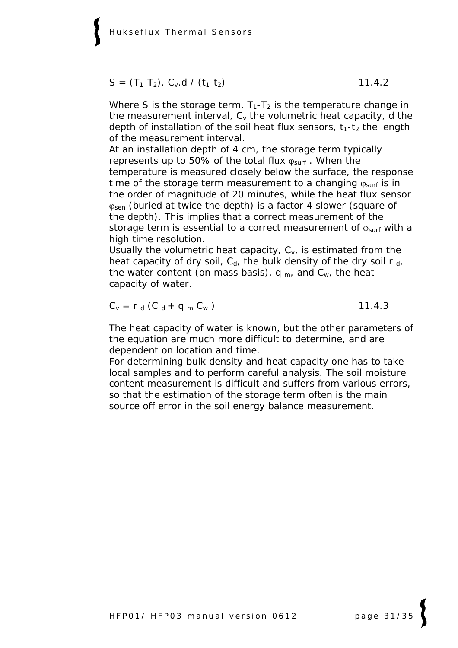$$
S = (T_1 - T_2). C_v.d / (t_1 - t_2)
$$
 11.4.2

Where S is the storage term,  $T_1-T_2$  is the temperature change in the measurement interval,  $C_v$  the volumetric heat capacity, d the depth of installation of the soil heat flux sensors,  $t_1-t_2$  the length of the measurement interval.

At an installation depth of 4 cm, the storage term typically represents up to 50% of the total flux  $\varphi_{surf}$ . When the temperature is measured closely below the surface, the response time of the storage term measurement to a changing  $\phi_{surf}$  is in the order of magnitude of 20 minutes, while the heat flux sensor  $\varphi_{\text{sen}}$  (buried at twice the depth) is a factor 4 slower (square of the depth). This implies that a correct measurement of the storage term is essential to a correct measurement of  $\varphi_{\text{surf}}$  with a high time resolution.

Usually the volumetric heat capacity,  $C_{v_i}$  is estimated from the heat capacity of dry soil,  $C_d$ , the bulk density of the dry soil r  $_d$ , the water content (on mass basis),  $q_m$ , and  $C_w$ , the heat capacity of water.

$$
C_{v} = r_{d} (C_{d} + q_{m} C_{w})
$$
 11.4.3

The heat capacity of water is known, but the other parameters of the equation are much more difficult to determine, and are dependent on location and time.

For determining bulk density and heat capacity one has to take local samples and to perform careful analysis. The soil moisture content measurement is difficult and suffers from various errors, so that the estimation of the storage term often is the main source off error in the soil energy balance measurement.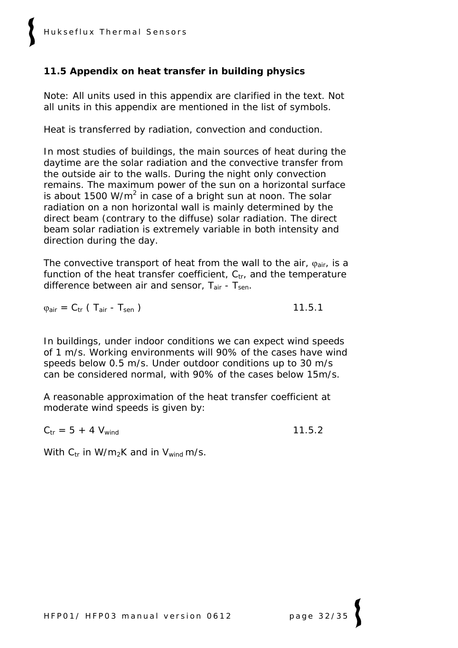#### **11.5 Appendix on heat transfer in building physics**

Note: All units used in this appendix are clarified in the text. Not all units in this appendix are mentioned in the list of symbols.

Heat is transferred by radiation, convection and conduction.

In most studies of buildings, the main sources of heat during the daytime are the solar radiation and the convective transfer from the outside air to the walls. During the night only convection remains. The maximum power of the sun on a horizontal surface is about 1500 W/m<sup>2</sup> in case of a bright sun at noon. The solar radiation on a non horizontal wall is mainly determined by the direct beam (contrary to the diffuse) solar radiation. The direct beam solar radiation is extremely variable in both intensity and direction during the day.

The convective transport of heat from the wall to the air,  $\varphi_{air}$ , is a function of the heat transfer coefficient,  $C_{tr}$ , and the temperature difference between air and sensor,  $T_{air}$  -  $T_{sen}$ .

 $\varphi_{\text{air}} = C_{\text{tr}} \left( T_{\text{air}} - T_{\text{sen}} \right)$  11.5.1

In buildings, under indoor conditions we can expect wind speeds of 1 m/s. Working environments will 90% of the cases have wind speeds below 0.5 m/s. Under outdoor conditions up to 30 m/s can be considered normal, with 90% of the cases below 15m/s.

A reasonable approximation of the heat transfer coefficient at moderate wind speeds is given by:

 $C_{tr} = 5 + 4 V_{wind}$  11.5.2

With  $C_{tr}$  in W/m<sub>2</sub>K and in V<sub>wind</sub> m/s.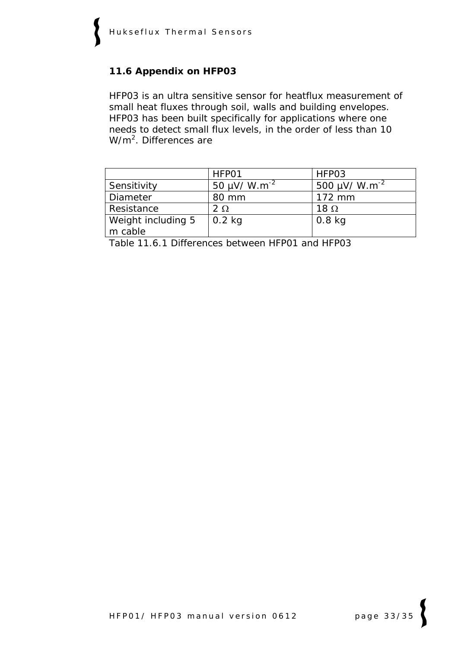#### **11.6 Appendix on HFP03**

HFP03 is an ultra sensitive sensor for heatflux measurement of small heat fluxes through soil, walls and building envelopes. HFP03 has been built specifically for applications where one needs to detect small flux levels, in the order of less than 10 W/m<sup>2</sup>. Differences are

|                               | HFP01                         | HFP03                          |
|-------------------------------|-------------------------------|--------------------------------|
| Sensitivity                   | 50 $\mu$ V/ W.m <sup>-2</sup> | 500 $\mu$ V/ W.m <sup>-2</sup> |
| <b>Diameter</b>               | 80 mm                         | $172 \text{ mm}$               |
| Resistance                    | $2\Omega$                     | 18 $\Omega$                    |
| Weight including 5<br>m cable | $0.2$ kg                      | $0.8$ kg                       |

Table 11.6.1 *Differences between HFP01 and HFP03*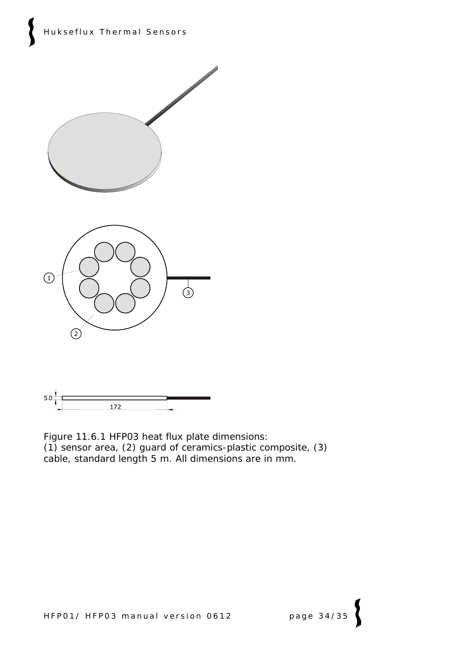



Figure 11.6.1 *HFP03 heat flux plate dimensions: (1) sensor area, (2) guard of ceramics-plastic composite, (3) cable, standard length 5 m. All dimensions are in mm.*